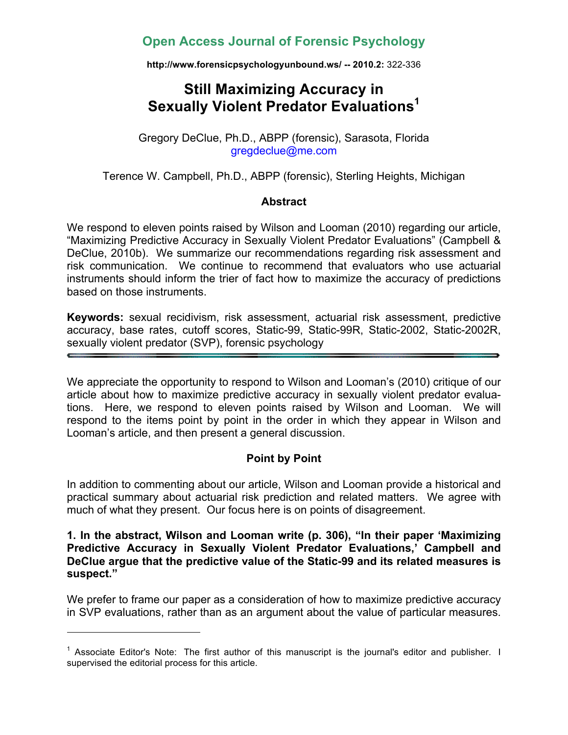# **Open Access Journal of Forensic Psychology**

**http://www.forensicpsychologyunbound.ws/ -- 2010.2:** 322-336

# **Still Maximizing Accuracy in Sexually Violent Predator Evaluations<sup>1</sup>**

Gregory DeClue, Ph.D., ABPP (forensic), Sarasota, Florida gregdeclue@me.com

Terence W. Campbell, Ph.D., ABPP (forensic), Sterling Heights, Michigan

#### **Abstract**

We respond to eleven points raised by Wilson and Looman (2010) regarding our article, "Maximizing Predictive Accuracy in Sexually Violent Predator Evaluations" (Campbell & DeClue, 2010b). We summarize our recommendations regarding risk assessment and risk communication. We continue to recommend that evaluators who use actuarial instruments should inform the trier of fact how to maximize the accuracy of predictions based on those instruments.

**Keywords:** sexual recidivism, risk assessment, actuarial risk assessment, predictive accuracy, base rates, cutoff scores, Static-99, Static-99R, Static-2002, Static-2002R, sexually violent predator (SVP), forensic psychology

We appreciate the opportunity to respond to Wilson and Looman's (2010) critique of our article about how to maximize predictive accuracy in sexually violent predator evaluations. Here, we respond to eleven points raised by Wilson and Looman. We will respond to the items point by point in the order in which they appear in Wilson and Looman's article, and then present a general discussion.

#### **Point by Point**

In addition to commenting about our article, Wilson and Looman provide a historical and practical summary about actuarial risk prediction and related matters. We agree with much of what they present. Our focus here is on points of disagreement.

#### **1. In the abstract, Wilson and Looman write (p. 306), "In their paper 'Maximizing Predictive Accuracy in Sexually Violent Predator Evaluations,' Campbell and DeClue argue that the predictive value of the Static-99 and its related measures is suspect."**

We prefer to frame our paper as a consideration of how to maximize predictive accuracy in SVP evaluations, rather than as an argument about the value of particular measures.

<sup>&</sup>lt;sup>1</sup> Associate Editor's Note: The first author of this manuscript is the journal's editor and publisher. I supervised the editorial process for this article.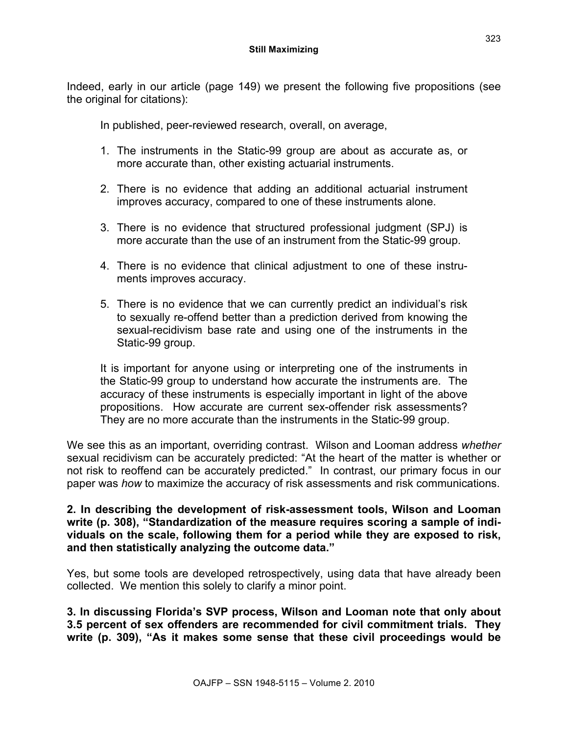Indeed, early in our article (page 149) we present the following five propositions (see the original for citations):

In published, peer-reviewed research, overall, on average,

- 1. The instruments in the Static-99 group are about as accurate as, or more accurate than, other existing actuarial instruments.
- 2. There is no evidence that adding an additional actuarial instrument improves accuracy, compared to one of these instruments alone.
- 3. There is no evidence that structured professional judgment (SPJ) is more accurate than the use of an instrument from the Static-99 group.
- 4. There is no evidence that clinical adjustment to one of these instruments improves accuracy.
- 5. There is no evidence that we can currently predict an individual's risk to sexually re-offend better than a prediction derived from knowing the sexual-recidivism base rate and using one of the instruments in the Static-99 group.

It is important for anyone using or interpreting one of the instruments in the Static-99 group to understand how accurate the instruments are. The accuracy of these instruments is especially important in light of the above propositions. How accurate are current sex-offender risk assessments? They are no more accurate than the instruments in the Static-99 group.

We see this as an important, overriding contrast. Wilson and Looman address *whether* sexual recidivism can be accurately predicted: "At the heart of the matter is whether or not risk to reoffend can be accurately predicted." In contrast, our primary focus in our paper was *how* to maximize the accuracy of risk assessments and risk communications.

#### **2. In describing the development of risk-assessment tools, Wilson and Looman write (p. 308), "Standardization of the measure requires scoring a sample of individuals on the scale, following them for a period while they are exposed to risk, and then statistically analyzing the outcome data."**

Yes, but some tools are developed retrospectively, using data that have already been collected. We mention this solely to clarify a minor point.

**3. In discussing Florida's SVP process, Wilson and Looman note that only about 3.5 percent of sex offenders are recommended for civil commitment trials. They write (p. 309), "As it makes some sense that these civil proceedings would be**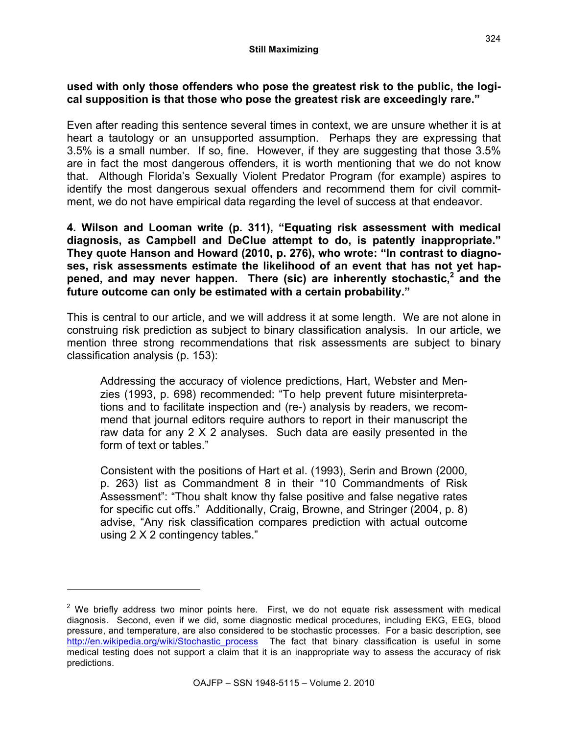#### **used with only those offenders who pose the greatest risk to the public, the logical supposition is that those who pose the greatest risk are exceedingly rare."**

Even after reading this sentence several times in context, we are unsure whether it is at heart a tautology or an unsupported assumption. Perhaps they are expressing that 3.5% is a small number. If so, fine. However, if they are suggesting that those 3.5% are in fact the most dangerous offenders, it is worth mentioning that we do not know that. Although Florida's Sexually Violent Predator Program (for example) aspires to identify the most dangerous sexual offenders and recommend them for civil commitment, we do not have empirical data regarding the level of success at that endeavor.

**4. Wilson and Looman write (p. 311), "Equating risk assessment with medical diagnosis, as Campbell and DeClue attempt to do, is patently inappropriate." They quote Hanson and Howard (2010, p. 276), who wrote: "In contrast to diagnoses, risk assessments estimate the likelihood of an event that has not yet hap**pened, and may never happen. There (sic) are inherently stochastic,<sup>2</sup> and the **future outcome can only be estimated with a certain probability."**

This is central to our article, and we will address it at some length. We are not alone in construing risk prediction as subject to binary classification analysis. In our article, we mention three strong recommendations that risk assessments are subject to binary classification analysis (p. 153):

Addressing the accuracy of violence predictions, Hart, Webster and Menzies (1993, p. 698) recommended: "To help prevent future misinterpretations and to facilitate inspection and (re-) analysis by readers, we recommend that journal editors require authors to report in their manuscript the raw data for any 2 X 2 analyses. Such data are easily presented in the form of text or tables."

Consistent with the positions of Hart et al. (1993), Serin and Brown (2000, p. 263) list as Commandment 8 in their "10 Commandments of Risk Assessment": "Thou shalt know thy false positive and false negative rates for specific cut offs." Additionally, Craig, Browne, and Stringer (2004, p. 8) advise, "Any risk classification compares prediction with actual outcome using 2 X 2 contingency tables."

 $2$  We briefly address two minor points here. First, we do not equate risk assessment with medical diagnosis. Second, even if we did, some diagnostic medical procedures, including EKG, EEG, blood pressure, and temperature, are also considered to be stochastic processes. For a basic description, see http://en.wikipedia.org/wiki/Stochastic\_process The fact that binary classification is useful in some medical testing does not support a claim that it is an inappropriate way to assess the accuracy of risk predictions.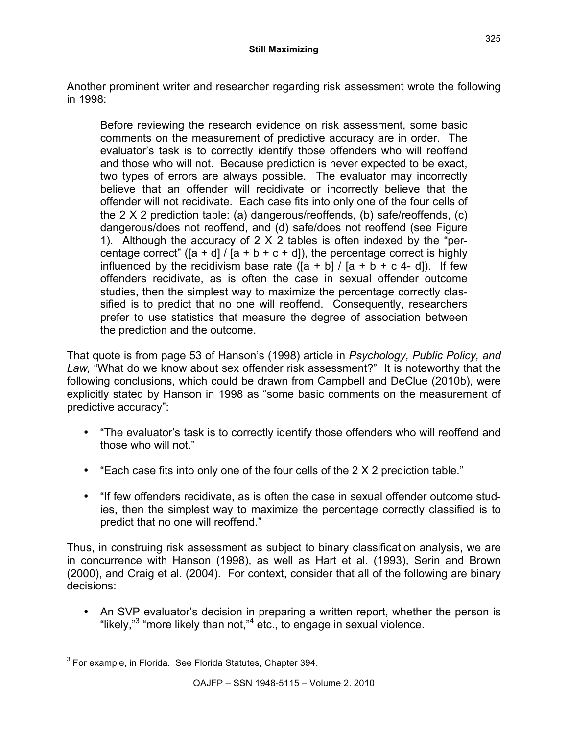Another prominent writer and researcher regarding risk assessment wrote the following in 1998:

Before reviewing the research evidence on risk assessment, some basic comments on the measurement of predictive accuracy are in order. The evaluator's task is to correctly identify those offenders who will reoffend and those who will not. Because prediction is never expected to be exact, two types of errors are always possible. The evaluator may incorrectly believe that an offender will recidivate or incorrectly believe that the offender will not recidivate. Each case fits into only one of the four cells of the 2 X 2 prediction table: (a) dangerous/reoffends, (b) safe/reoffends, (c) dangerous/does not reoffend, and (d) safe/does not reoffend (see Figure 1). Although the accuracy of 2 X 2 tables is often indexed by the "percentage correct" ( $[a + d] / [a + b + c + d]$ ), the percentage correct is highly influenced by the recidivism base rate  $(Ia + b) / [a + b + c 4 - d]$ . If few offenders recidivate, as is often the case in sexual offender outcome studies, then the simplest way to maximize the percentage correctly classified is to predict that no one will reoffend. Consequently, researchers prefer to use statistics that measure the degree of association between the prediction and the outcome.

That quote is from page 53 of Hanson's (1998) article in *Psychology, Public Policy, and Law,* "What do we know about sex offender risk assessment?" It is noteworthy that the following conclusions, which could be drawn from Campbell and DeClue (2010b), were explicitly stated by Hanson in 1998 as "some basic comments on the measurement of predictive accuracy":

- "The evaluator's task is to correctly identify those offenders who will reoffend and those who will not."
- "Each case fits into only one of the four cells of the 2 X 2 prediction table."
- "If few offenders recidivate, as is often the case in sexual offender outcome studies, then the simplest way to maximize the percentage correctly classified is to predict that no one will reoffend."

Thus, in construing risk assessment as subject to binary classification analysis, we are in concurrence with Hanson (1998), as well as Hart et al. (1993), Serin and Brown (2000), and Craig et al. (2004). For context, consider that all of the following are binary decisions:

• An SVP evaluator's decision in preparing a written report, whether the person is "likely,"<sup>3</sup> "more likely than not,"<sup>4</sup> etc., to engage in sexual violence.

 $3$  For example, in Florida. See Florida Statutes, Chapter 394.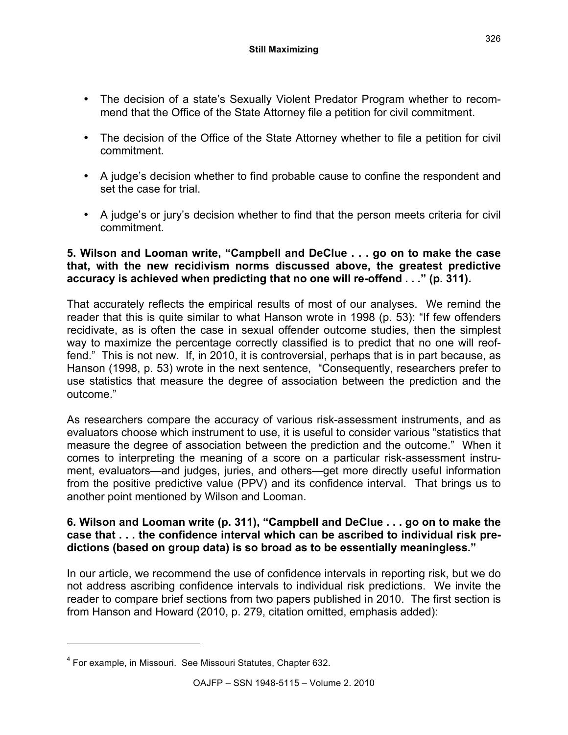- The decision of a state's Sexually Violent Predator Program whether to recommend that the Office of the State Attorney file a petition for civil commitment.
- The decision of the Office of the State Attorney whether to file a petition for civil commitment.
- A judge's decision whether to find probable cause to confine the respondent and set the case for trial
- A judge's or jury's decision whether to find that the person meets criteria for civil commitment.

### **5. Wilson and Looman write, "Campbell and DeClue . . . go on to make the case that, with the new recidivism norms discussed above, the greatest predictive accuracy is achieved when predicting that no one will re-offend . . ." (p. 311).**

That accurately reflects the empirical results of most of our analyses. We remind the reader that this is quite similar to what Hanson wrote in 1998 (p. 53): "If few offenders recidivate, as is often the case in sexual offender outcome studies, then the simplest way to maximize the percentage correctly classified is to predict that no one will reoffend." This is not new. If, in 2010, it is controversial, perhaps that is in part because, as Hanson (1998, p. 53) wrote in the next sentence, "Consequently, researchers prefer to use statistics that measure the degree of association between the prediction and the outcome."

As researchers compare the accuracy of various risk-assessment instruments, and as evaluators choose which instrument to use, it is useful to consider various "statistics that measure the degree of association between the prediction and the outcome." When it comes to interpreting the meaning of a score on a particular risk-assessment instrument, evaluators—and judges, juries, and others—get more directly useful information from the positive predictive value (PPV) and its confidence interval. That brings us to another point mentioned by Wilson and Looman.

### **6. Wilson and Looman write (p. 311), "Campbell and DeClue . . . go on to make the case that . . . the confidence interval which can be ascribed to individual risk predictions (based on group data) is so broad as to be essentially meaningless."**

In our article, we recommend the use of confidence intervals in reporting risk, but we do not address ascribing confidence intervals to individual risk predictions. We invite the reader to compare brief sections from two papers published in 2010. The first section is from Hanson and Howard (2010, p. 279, citation omitted, emphasis added):

<sup>&</sup>lt;sup>4</sup> For example, in Missouri. See Missouri Statutes, Chapter 632.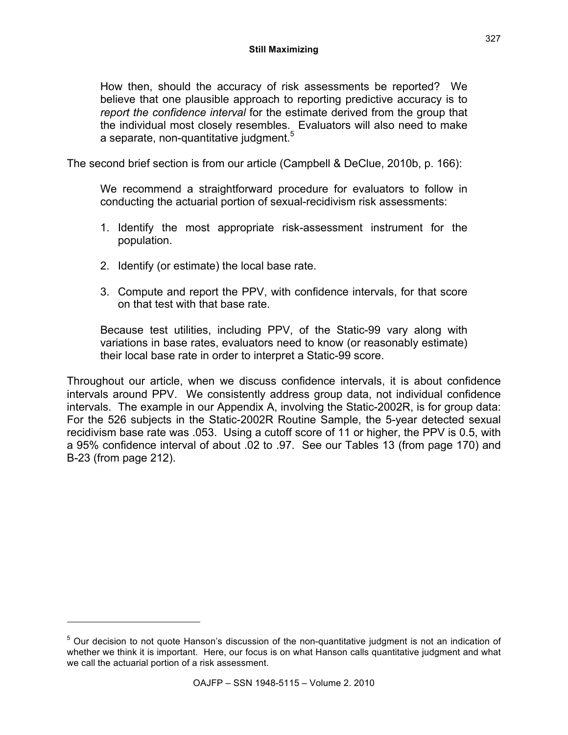How then, should the accuracy of risk assessments be reported? We believe that one plausible approach to reporting predictive accuracy is to *report the confidence interval* for the estimate derived from the group that the individual most closely resembles. Evaluators will also need to make a separate, non-quantitative judgment.<sup>5</sup>

The second brief section is from our article (Campbell & DeClue, 2010b, p. 166):

We recommend a straightforward procedure for evaluators to follow in conducting the actuarial portion of sexual-recidivism risk assessments:

- 1. Identify the most appropriate risk-assessment instrument for the population.
- 2. Identify (or estimate) the local base rate.

l

3. Compute and report the PPV, with confidence intervals, for that score on that test with that base rate.

Because test utilities, including PPV, of the Static-99 vary along with variations in base rates, evaluators need to know (or reasonably estimate) their local base rate in order to interpret a Static-99 score.

Throughout our article, when we discuss confidence intervals, it is about confidence intervals around PPV. We consistently address group data, not individual confidence intervals. The example in our Appendix A, involving the Static-2002R, is for group data: For the 526 subjects in the Static-2002R Routine Sample, the 5-year detected sexual recidivism base rate was .053. Using a cutoff score of 11 or higher, the PPV is 0.5, with a 95% confidence interval of about .02 to .97. See our Tables 13 (from page 170) and B-23 (from page 212).

<sup>&</sup>lt;sup>5</sup> Our decision to not quote Hanson's discussion of the non-quantitative judgment is not an indication of whether we think it is important. Here, our focus is on what Hanson calls quantitative judgment and what we call the actuarial portion of a risk assessment.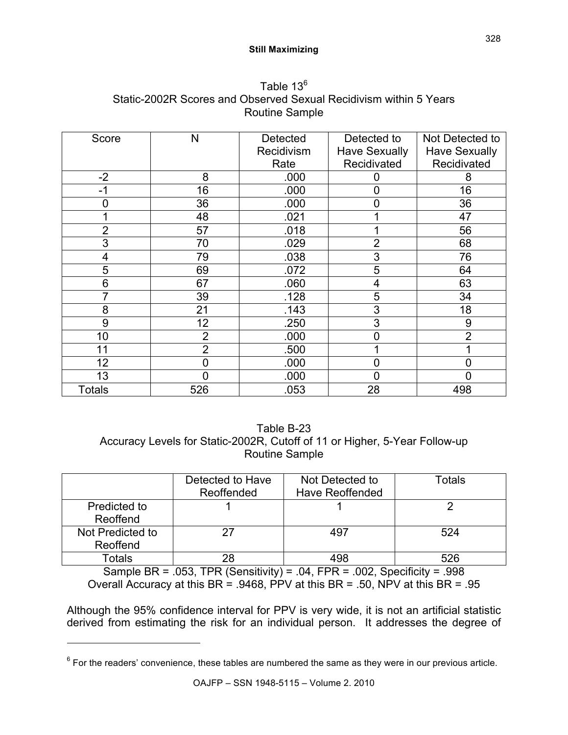#### **Still Maximizing**

| Score          | N              | <b>Detected</b> | Detected to          | Not Detected to      |
|----------------|----------------|-----------------|----------------------|----------------------|
|                |                | Recidivism      | <b>Have Sexually</b> | <b>Have Sexually</b> |
|                |                | Rate            | Recidivated          | Recidivated          |
| $-2$           | 8              | .000            | 0                    | 8                    |
| $-1$           | 16             | .000            | $\overline{0}$       | 16                   |
| 0              | 36             | .000            | $\overline{0}$       | 36                   |
|                | 48             | .021            |                      | 47                   |
| $\overline{2}$ | 57             | .018            |                      | 56                   |
| 3              | 70             | .029            | $\overline{2}$       | 68                   |
| 4              | 79             | .038            | 3                    | 76                   |
| 5              | 69             | .072            | 5                    | 64                   |
| 6              | 67             | .060            | 4                    | 63                   |
|                | 39             | .128            | 5                    | 34                   |
| 8              | 21             | .143            | 3                    | 18                   |
| 9              | 12             | .250            | 3                    | 9                    |
| 10             | $\overline{2}$ | .000            | 0                    | $\overline{2}$       |
| 11             | $\overline{2}$ | .500            |                      |                      |
| 12             | 0              | .000            | $\overline{0}$       | $\overline{0}$       |
| 13             | 0              | .000            | 0                    | $\overline{0}$       |
| <b>Totals</b>  | 526            | .053            | 28                   | 498                  |

Table 13<sup>6</sup> Static-2002R Scores and Observed Sexual Recidivism within 5 Years Routine Sample

## Table B-23 Accuracy Levels for Static-2002R, Cutoff of 11 or Higher, 5-Year Follow-up Routine Sample

|                              | Detected to Have<br>Reoffended | Not Detected to<br><b>Have Reoffended</b> | Totals |
|------------------------------|--------------------------------|-------------------------------------------|--------|
| Predicted to<br>Reoffend     |                                |                                           |        |
| Not Predicted to<br>Reoffend | 27                             | 497                                       | 524    |
| Totals                       | 28                             | 498                                       | 526    |

Sample BR =  $.053$ , TPR (Sensitivity) =  $.04$ , FPR =  $.002$ , Specificity =  $.998$ Overall Accuracy at this BR = .9468, PPV at this BR = .50, NPV at this BR = .95

Although the 95% confidence interval for PPV is very wide, it is not an artificial statistic derived from estimating the risk for an individual person. It addresses the degree of

 $<sup>6</sup>$  For the readers' convenience, these tables are numbered the same as they were in our previous article.</sup>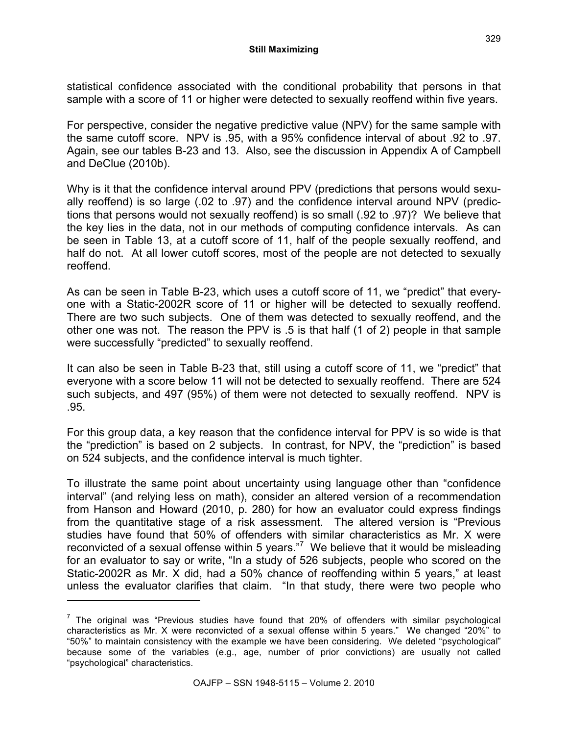statistical confidence associated with the conditional probability that persons in that sample with a score of 11 or higher were detected to sexually reoffend within five years.

For perspective, consider the negative predictive value (NPV) for the same sample with the same cutoff score. NPV is .95, with a 95% confidence interval of about .92 to .97. Again, see our tables B-23 and 13. Also, see the discussion in Appendix A of Campbell and DeClue (2010b).

Why is it that the confidence interval around PPV (predictions that persons would sexually reoffend) is so large (.02 to .97) and the confidence interval around NPV (predictions that persons would not sexually reoffend) is so small (.92 to .97)? We believe that the key lies in the data, not in our methods of computing confidence intervals. As can be seen in Table 13, at a cutoff score of 11, half of the people sexually reoffend, and half do not. At all lower cutoff scores, most of the people are not detected to sexually reoffend.

As can be seen in Table B-23, which uses a cutoff score of 11, we "predict" that everyone with a Static-2002R score of 11 or higher will be detected to sexually reoffend. There are two such subjects. One of them was detected to sexually reoffend, and the other one was not. The reason the PPV is .5 is that half (1 of 2) people in that sample were successfully "predicted" to sexually reoffend.

It can also be seen in Table B-23 that, still using a cutoff score of 11, we "predict" that everyone with a score below 11 will not be detected to sexually reoffend. There are 524 such subjects, and 497 (95%) of them were not detected to sexually reoffend. NPV is .95.

For this group data, a key reason that the confidence interval for PPV is so wide is that the "prediction" is based on 2 subjects. In contrast, for NPV, the "prediction" is based on 524 subjects, and the confidence interval is much tighter.

To illustrate the same point about uncertainty using language other than "confidence interval" (and relying less on math), consider an altered version of a recommendation from Hanson and Howard (2010, p. 280) for how an evaluator could express findings from the quantitative stage of a risk assessment. The altered version is "Previous studies have found that 50% of offenders with similar characteristics as Mr. X were reconvicted of a sexual offense within 5 years."<sup>7</sup> We believe that it would be misleading for an evaluator to say or write, "In a study of 526 subjects, people who scored on the Static-2002R as Mr. X did, had a 50% chance of reoffending within 5 years," at least unless the evaluator clarifies that claim. "In that study, there were two people who

 $7$  The original was "Previous studies have found that 20% of offenders with similar psychological characteristics as Mr. X were reconvicted of a sexual offense within 5 years." We changed "20%" to "50%" to maintain consistency with the example we have been considering. We deleted "psychological" because some of the variables (e.g., age, number of prior convictions) are usually not called "psychological" characteristics.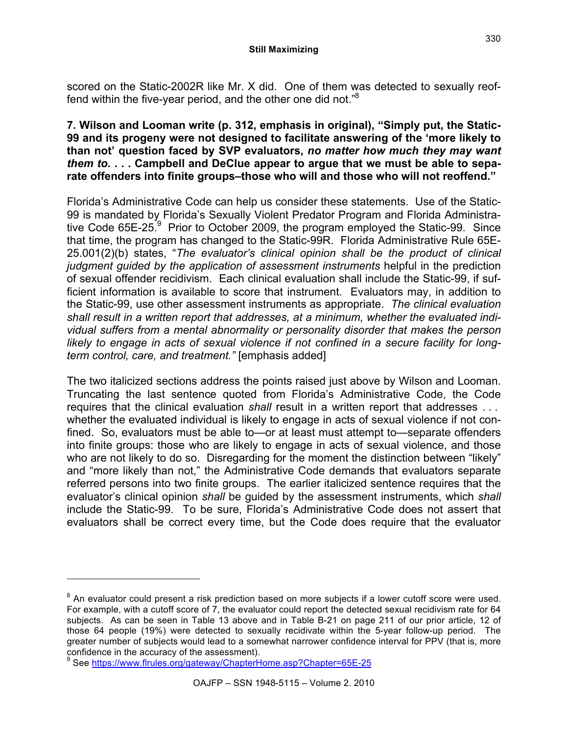scored on the Static-2002R like Mr. X did. One of them was detected to sexually reoffend within the five-year period, and the other one did not." $8$ 

#### **7. Wilson and Looman write (p. 312, emphasis in original), "Simply put, the Static-99 and its progeny were not designed to facilitate answering of the 'more likely to than not' question faced by SVP evaluators,** *no matter how much they may want them to.* **. . . Campbell and DeClue appear to argue that we must be able to separate offenders into finite groups–those who will and those who will not reoffend."**

Florida's Administrative Code can help us consider these statements. Use of the Static-99 is mandated by Florida's Sexually Violent Predator Program and Florida Administrative Code  $65E-25$ <sup>9</sup> Prior to October 2009, the program employed the Static-99. Since that time, the program has changed to the Static-99R. Florida Administrative Rule 65E-25.001(2)(b) states, "*The evaluator's clinical opinion shall be the product of clinical judgment guided by the application of assessment instruments* helpful in the prediction of sexual offender recidivism. Each clinical evaluation shall include the Static-99, if sufficient information is available to score that instrument. Evaluators may, in addition to the Static-99, use other assessment instruments as appropriate. *The clinical evaluation shall result in a written report that addresses, at a minimum, whether the evaluated individual suffers from a mental abnormality or personality disorder that makes the person likely to engage in acts of sexual violence if not confined in a secure facility for longterm control, care, and treatment."* [emphasis added]

The two italicized sections address the points raised just above by Wilson and Looman. Truncating the last sentence quoted from Florida's Administrative Code, the Code requires that the clinical evaluation *shall* result in a written report that addresses . . . whether the evaluated individual is likely to engage in acts of sexual violence if not confined. So, evaluators must be able to—or at least must attempt to—separate offenders into finite groups: those who are likely to engage in acts of sexual violence, and those who are not likely to do so. Disregarding for the moment the distinction between "likely" and "more likely than not," the Administrative Code demands that evaluators separate referred persons into two finite groups. The earlier italicized sentence requires that the evaluator's clinical opinion *shall* be guided by the assessment instruments, which *shall* include the Static-99. To be sure, Florida's Administrative Code does not assert that evaluators shall be correct every time, but the Code does require that the evaluator

 $8$  An evaluator could present a risk prediction based on more subjects if a lower cutoff score were used. For example, with a cutoff score of 7, the evaluator could report the detected sexual recidivism rate for 64 subjects. As can be seen in Table 13 above and in Table B-21 on page 211 of our prior article, 12 of those 64 people (19%) were detected to sexually recidivate within the 5-year follow-up period. The greater number of subjects would lead to a somewhat narrower confidence interval for PPV (that is, more confidence in the accuracy of the assessment).<br><sup>9</sup> See https://www.frulee.org/actauray/Chapterl

See https://www.flrules.org/gateway/ChapterHome.asp?Chapter=65E-25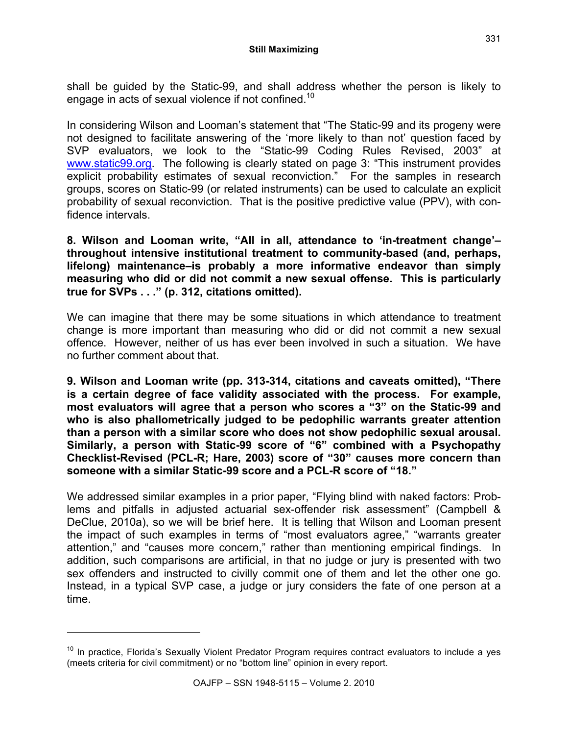shall be guided by the Static-99, and shall address whether the person is likely to engage in acts of sexual violence if not confined.<sup>10</sup>

In considering Wilson and Looman's statement that "The Static-99 and its progeny were not designed to facilitate answering of the 'more likely to than not' question faced by SVP evaluators, we look to the "Static-99 Coding Rules Revised, 2003" at www.static99.org. The following is clearly stated on page 3: "This instrument provides explicit probability estimates of sexual reconviction." For the samples in research groups, scores on Static-99 (or related instruments) can be used to calculate an explicit probability of sexual reconviction. That is the positive predictive value (PPV), with confidence intervals.

**8. Wilson and Looman write, "All in all, attendance to 'in-treatment change'– throughout intensive institutional treatment to community-based (and, perhaps, lifelong) maintenance–is probably a more informative endeavor than simply measuring who did or did not commit a new sexual offense. This is particularly true for SVPs . . ." (p. 312, citations omitted).**

We can imagine that there may be some situations in which attendance to treatment change is more important than measuring who did or did not commit a new sexual offence. However, neither of us has ever been involved in such a situation. We have no further comment about that.

**9. Wilson and Looman write (pp. 313-314, citations and caveats omitted), "There is a certain degree of face validity associated with the process. For example, most evaluators will agree that a person who scores a "3" on the Static-99 and who is also phallometrically judged to be pedophilic warrants greater attention than a person with a similar score who does not show pedophilic sexual arousal. Similarly, a person with Static-99 score of "6" combined with a Psychopathy Checklist-Revised (PCL-R; Hare, 2003) score of "30" causes more concern than someone with a similar Static-99 score and a PCL-R score of "18."**

We addressed similar examples in a prior paper, "Flying blind with naked factors: Problems and pitfalls in adjusted actuarial sex-offender risk assessment" (Campbell & DeClue, 2010a), so we will be brief here. It is telling that Wilson and Looman present the impact of such examples in terms of "most evaluators agree," "warrants greater attention," and "causes more concern," rather than mentioning empirical findings. In addition, such comparisons are artificial, in that no judge or jury is presented with two sex offenders and instructed to civilly commit one of them and let the other one go. Instead, in a typical SVP case, a judge or jury considers the fate of one person at a time.

 $10$  In practice, Florida's Sexually Violent Predator Program requires contract evaluators to include a yes (meets criteria for civil commitment) or no "bottom line" opinion in every report.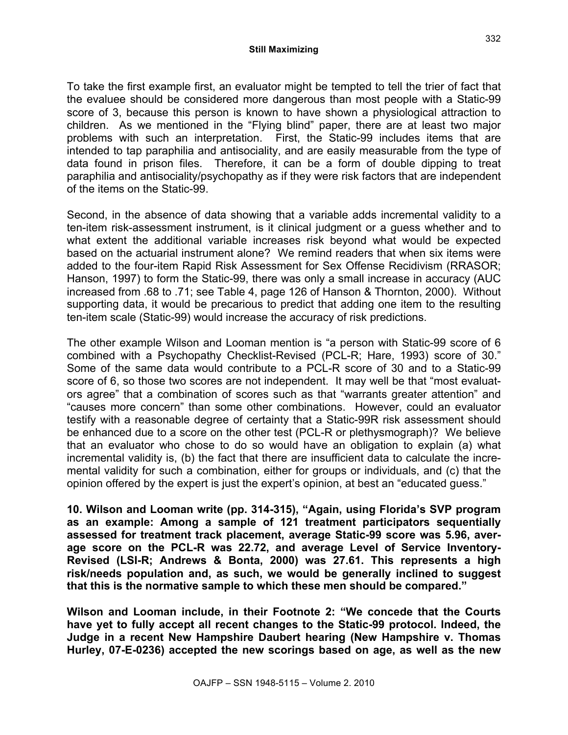#### **Still Maximizing**

To take the first example first, an evaluator might be tempted to tell the trier of fact that the evaluee should be considered more dangerous than most people with a Static-99 score of 3, because this person is known to have shown a physiological attraction to children. As we mentioned in the "Flying blind" paper, there are at least two major problems with such an interpretation. First, the Static-99 includes items that are intended to tap paraphilia and antisociality, and are easily measurable from the type of data found in prison files. Therefore, it can be a form of double dipping to treat paraphilia and antisociality/psychopathy as if they were risk factors that are independent of the items on the Static-99.

Second, in the absence of data showing that a variable adds incremental validity to a ten-item risk-assessment instrument, is it clinical judgment or a guess whether and to what extent the additional variable increases risk beyond what would be expected based on the actuarial instrument alone? We remind readers that when six items were added to the four-item Rapid Risk Assessment for Sex Offense Recidivism (RRASOR; Hanson, 1997) to form the Static-99, there was only a small increase in accuracy (AUC increased from .68 to .71; see Table 4, page 126 of Hanson & Thornton, 2000). Without supporting data, it would be precarious to predict that adding one item to the resulting ten-item scale (Static-99) would increase the accuracy of risk predictions.

The other example Wilson and Looman mention is "a person with Static-99 score of 6 combined with a Psychopathy Checklist-Revised (PCL-R; Hare, 1993) score of 30." Some of the same data would contribute to a PCL-R score of 30 and to a Static-99 score of 6, so those two scores are not independent. It may well be that "most evaluators agree" that a combination of scores such as that "warrants greater attention" and "causes more concern" than some other combinations. However, could an evaluator testify with a reasonable degree of certainty that a Static-99R risk assessment should be enhanced due to a score on the other test (PCL-R or plethysmograph)? We believe that an evaluator who chose to do so would have an obligation to explain (a) what incremental validity is, (b) the fact that there are insufficient data to calculate the incremental validity for such a combination, either for groups or individuals, and (c) that the opinion offered by the expert is just the expert's opinion, at best an "educated guess."

**10. Wilson and Looman write (pp. 314-315), "Again, using Florida's SVP program as an example: Among a sample of 121 treatment participators sequentially assessed for treatment track placement, average Static-99 score was 5.96, average score on the PCL-R was 22.72, and average Level of Service Inventory-Revised (LSI-R; Andrews & Bonta, 2000) was 27.61. This represents a high risk/needs population and, as such, we would be generally inclined to suggest that this is the normative sample to which these men should be compared."**

**Wilson and Looman include, in their Footnote 2: "We concede that the Courts have yet to fully accept all recent changes to the Static-99 protocol. Indeed, the Judge in a recent New Hampshire Daubert hearing (New Hampshire v. Thomas Hurley, 07-E-0236) accepted the new scorings based on age, as well as the new**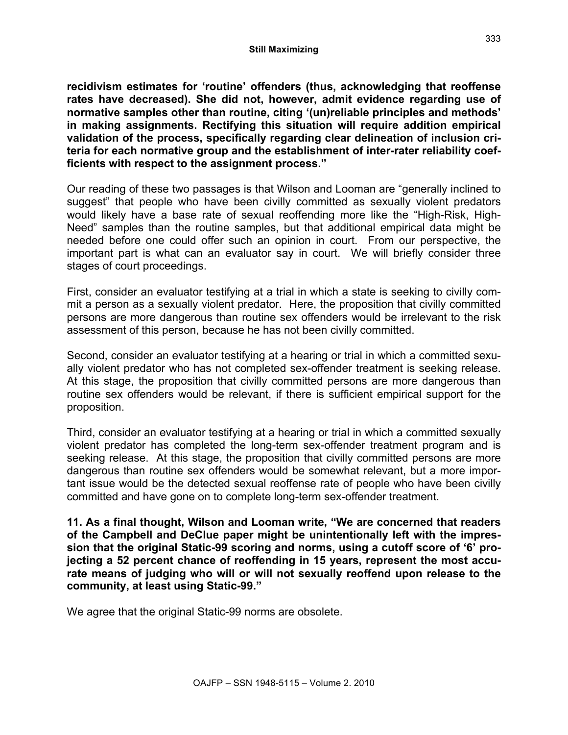**recidivism estimates for 'routine' offenders (thus, acknowledging that reoffense rates have decreased). She did not, however, admit evidence regarding use of normative samples other than routine, citing '(un)reliable principles and methods' in making assignments. Rectifying this situation will require addition empirical validation of the process, specifically regarding clear delineation of inclusion criteria for each normative group and the establishment of inter-rater reliability coefficients with respect to the assignment process."**

Our reading of these two passages is that Wilson and Looman are "generally inclined to suggest" that people who have been civilly committed as sexually violent predators would likely have a base rate of sexual reoffending more like the "High-Risk, High-Need" samples than the routine samples, but that additional empirical data might be needed before one could offer such an opinion in court. From our perspective, the important part is what can an evaluator say in court. We will briefly consider three stages of court proceedings.

First, consider an evaluator testifying at a trial in which a state is seeking to civilly commit a person as a sexually violent predator. Here, the proposition that civilly committed persons are more dangerous than routine sex offenders would be irrelevant to the risk assessment of this person, because he has not been civilly committed.

Second, consider an evaluator testifying at a hearing or trial in which a committed sexually violent predator who has not completed sex-offender treatment is seeking release. At this stage, the proposition that civilly committed persons are more dangerous than routine sex offenders would be relevant, if there is sufficient empirical support for the proposition.

Third, consider an evaluator testifying at a hearing or trial in which a committed sexually violent predator has completed the long-term sex-offender treatment program and is seeking release. At this stage, the proposition that civilly committed persons are more dangerous than routine sex offenders would be somewhat relevant, but a more important issue would be the detected sexual reoffense rate of people who have been civilly committed and have gone on to complete long-term sex-offender treatment.

**11. As a final thought, Wilson and Looman write, "We are concerned that readers of the Campbell and DeClue paper might be unintentionally left with the impression that the original Static-99 scoring and norms, using a cutoff score of '6' projecting a 52 percent chance of reoffending in 15 years, represent the most accurate means of judging who will or will not sexually reoffend upon release to the community, at least using Static-99."**

We agree that the original Static-99 norms are obsolete.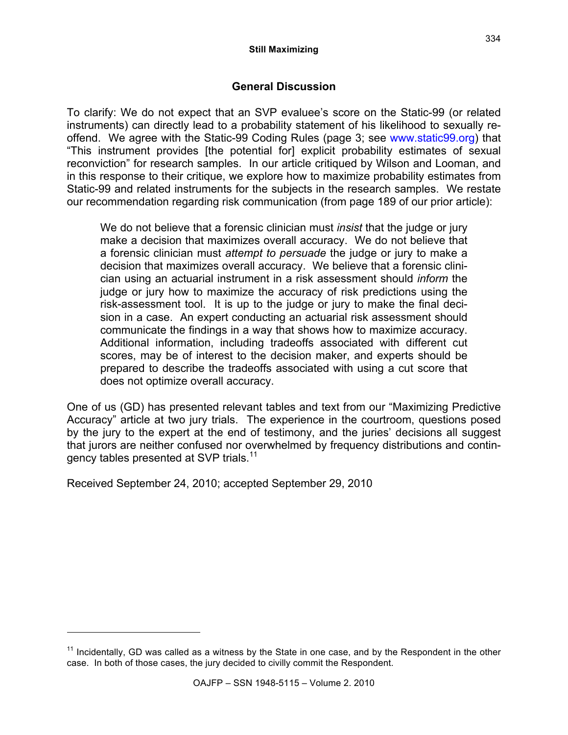## **General Discussion**

To clarify: We do not expect that an SVP evaluee's score on the Static-99 (or related instruments) can directly lead to a probability statement of his likelihood to sexually reoffend. We agree with the Static-99 Coding Rules (page 3; see www.static99.org) that "This instrument provides [the potential for] explicit probability estimates of sexual reconviction" for research samples. In our article critiqued by Wilson and Looman, and in this response to their critique, we explore how to maximize probability estimates from Static-99 and related instruments for the subjects in the research samples. We restate our recommendation regarding risk communication (from page 189 of our prior article):

We do not believe that a forensic clinician must *insist* that the judge or jury make a decision that maximizes overall accuracy. We do not believe that a forensic clinician must *attempt to persuade* the judge or jury to make a decision that maximizes overall accuracy. We believe that a forensic clinician using an actuarial instrument in a risk assessment should *inform* the judge or jury how to maximize the accuracy of risk predictions using the risk-assessment tool. It is up to the judge or jury to make the final decision in a case. An expert conducting an actuarial risk assessment should communicate the findings in a way that shows how to maximize accuracy. Additional information, including tradeoffs associated with different cut scores, may be of interest to the decision maker, and experts should be prepared to describe the tradeoffs associated with using a cut score that does not optimize overall accuracy.

One of us (GD) has presented relevant tables and text from our "Maximizing Predictive Accuracy" article at two jury trials. The experience in the courtroom, questions posed by the jury to the expert at the end of testimony, and the juries' decisions all suggest that jurors are neither confused nor overwhelmed by frequency distributions and contingency tables presented at SVP trials.<sup>11</sup>

Received September 24, 2010; accepted September 29, 2010

 $11$  Incidentally, GD was called as a witness by the State in one case, and by the Respondent in the other case. In both of those cases, the jury decided to civilly commit the Respondent.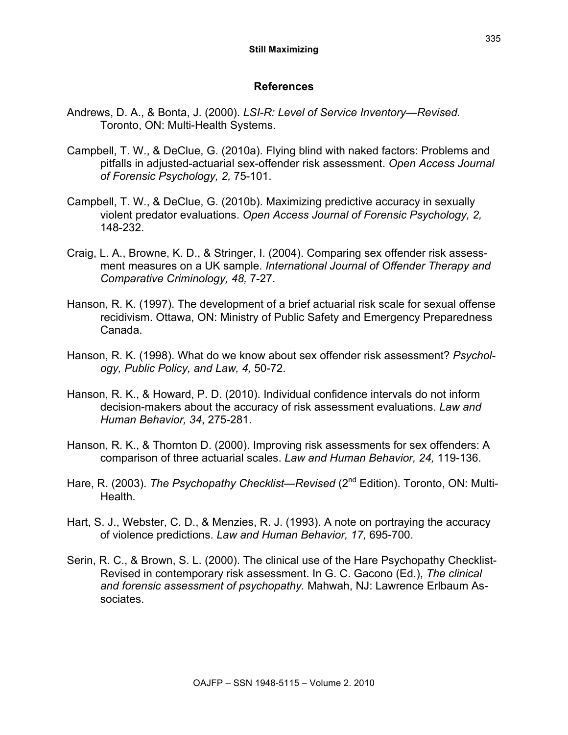### **References**

- Andrews, D. A., & Bonta, J. (2000). *LSI-R: Level of Service Inventory—Revised.* Toronto, ON: Multi-Health Systems.
- Campbell, T. W., & DeClue, G. (2010a). Flying blind with naked factors: Problems and pitfalls in adjusted-actuarial sex-offender risk assessment. *Open Access Journal of Forensic Psychology, 2,* 75-101.
- Campbell, T. W., & DeClue, G. (2010b). Maximizing predictive accuracy in sexually violent predator evaluations. *Open Access Journal of Forensic Psychology, 2,* 148-232.
- Craig, L. A., Browne, K. D., & Stringer, I. (2004). Comparing sex offender risk assessment measures on a UK sample. *International Journal of Offender Therapy and Comparative Criminology, 48,* 7-27.
- Hanson, R. K. (1997). The development of a brief actuarial risk scale for sexual offense recidivism. Ottawa, ON: Ministry of Public Safety and Emergency Preparedness Canada.
- Hanson, R. K. (1998). What do we know about sex offender risk assessment? *Psychology, Public Policy, and Law, 4,* 50-72.
- Hanson, R. K., & Howard, P. D. (2010). Individual confidence intervals do not inform decision-makers about the accuracy of risk assessment evaluations. *Law and Human Behavior, 34*, 275-281.
- Hanson, R. K., & Thornton D. (2000). Improving risk assessments for sex offenders: A comparison of three actuarial scales. *Law and Human Behavior, 24,* 119-136.
- Hare, R. (2003). *The Psychopathy Checklist—Revised* (2<sup>nd</sup> Edition). Toronto, ON: Multi-Health.
- Hart, S. J., Webster, C. D., & Menzies, R. J. (1993). A note on portraying the accuracy of violence predictions. *Law and Human Behavior, 17,* 695-700.
- Serin, R. C., & Brown, S. L. (2000). The clinical use of the Hare Psychopathy Checklist-Revised in contemporary risk assessment. In G. C. Gacono (Ed.), *The clinical and forensic assessment of psychopathy.* Mahwah, NJ: Lawrence Erlbaum Associates.